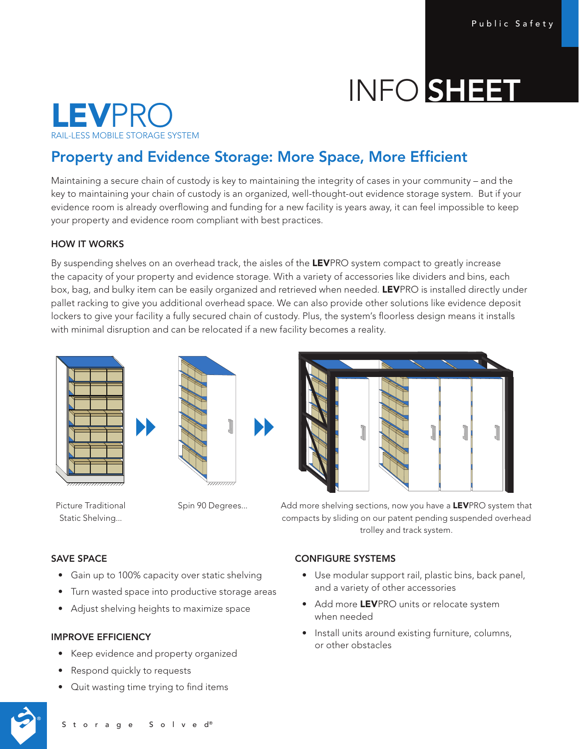# INFO SHEET



# Property and Evidence Storage: More Space, More Efficient

Maintaining a secure chain of custody is key to maintaining the integrity of cases in your community – and the key to maintaining your chain of custody is an organized, well-thought-out evidence storage system. But if your evidence room is already overflowing and funding for a new facility is years away, it can feel impossible to keep your property and evidence room compliant with best practices.

## HOW IT WORKS

By suspending shelves on an overhead track, the aisles of the LEVPRO system compact to greatly increase the capacity of your property and evidence storage. With a variety of accessories like dividers and bins, each box, bag, and bulky item can be easily organized and retrieved when needed. LEVPRO is installed directly under pallet racking to give you additional overhead space. We can also provide other solutions like evidence deposit lockers to give your facility a fully secured chain of custody. Plus, the system's floorless design means it installs with minimal disruption and can be relocated if a new facility becomes a reality.





Picture Traditional Static Shelving...



Spin 90 Degrees... Add more shelving sections, now you have a LEVPRO system that compacts by sliding on our patent pending suspended overhead trolley and track system.

#### SAVE SPACE

- Gain up to 100% capacity over static shelving
- Turn wasted space into productive storage areas
- Adjust shelving heights to maximize space

#### IMPROVE EFFICIENCY

- Keep evidence and property organized
- Respond quickly to requests
- Quit wasting time trying to find items

#### CONFIGURE SYSTEMS

- Use modular support rail, plastic bins, back panel, and a variety of other accessories
- Add more LEVPRO units or relocate system when needed
- Install units around existing furniture, columns, or other obstacles